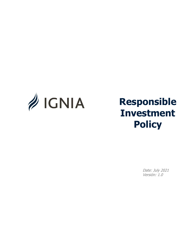

# **Responsible Investment Policy**

Date: July 2021 Versión: 1.0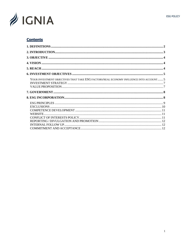

# **Contents**

| YOUR INVESTMENT OBJECTIVES THAT TAKE ESG FACTORS/REAL ECONOMY INFLUENCE INTO ACCOUNT 5 |  |
|----------------------------------------------------------------------------------------|--|
|                                                                                        |  |
|                                                                                        |  |
|                                                                                        |  |
|                                                                                        |  |
|                                                                                        |  |
|                                                                                        |  |
|                                                                                        |  |
|                                                                                        |  |
|                                                                                        |  |
|                                                                                        |  |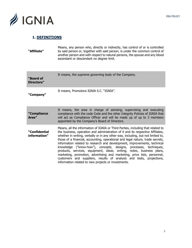

# <span id="page-2-0"></span>**1. DEFINITIONS**

**"Affiliate"** Means, any person who, directly or indirectly, has control of or is controlled by said person or, together with said person, is under the common control of another person and with respect to natural persons, the spouse and any blood ascendant or descendant no degree limit.

| "Board of<br>Directors"       | It means, the supreme governing body of the Company.                                                                                                                                                                                                                                                                                                                                                                                                                                                                                                                                                                                                                                                                                                                          |
|-------------------------------|-------------------------------------------------------------------------------------------------------------------------------------------------------------------------------------------------------------------------------------------------------------------------------------------------------------------------------------------------------------------------------------------------------------------------------------------------------------------------------------------------------------------------------------------------------------------------------------------------------------------------------------------------------------------------------------------------------------------------------------------------------------------------------|
| "Company"                     | It means, Promotora IGNIA S.C. "IGNIA".                                                                                                                                                                                                                                                                                                                                                                                                                                                                                                                                                                                                                                                                                                                                       |
| "Compliance<br>Area"          | It means, the area in charge of advising, supervising and executing<br>compliance with the code Code and the other Integrity Policies of IGNIA that<br>will act as Compliance Officer and will be made up of up to 3 members<br>appointed by the Company's Board of Directors.                                                                                                                                                                                                                                                                                                                                                                                                                                                                                                |
| "Confidential<br>information" | Means, all the information of IGNIA or Third Parties, including that related to<br>the business, operation and administration of it and its respective Affiliates,<br>whether in writing, verbally or in any other way, including, but not limited to,<br>those of a financial, accounting, operational and legal nature, trade secrets,<br>information related to research and development, improvements, technical<br>knowledge ("know-how"), concepts, designs, processes, techniques,<br>products, services, equipment, ideas, writing, notes, business plans,<br>marketing, promotion, advertising and marketing, price lists, personnel,<br>customers and suppliers, results of analysis and tests, projections,<br>information related to new projects or investments. |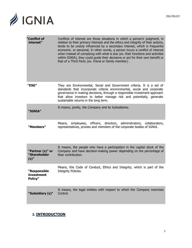

| "Conflict of<br>interest"                    | Conflicts of interest are those situations in which a person's judgment, in<br>relation to their primary interests and the ethics and integrity of their actions,<br>tends to be unduly influenced by a secondary interest, which is frequently<br>economic. or personal; In other words, a person incurs a conflict of interest<br>when instead of complying with what is due (ex. their functions and activities<br>within IGNIA), they could guide their decisions or act for their own benefit or<br>that of a Third Party (ex. friend or family member). |
|----------------------------------------------|---------------------------------------------------------------------------------------------------------------------------------------------------------------------------------------------------------------------------------------------------------------------------------------------------------------------------------------------------------------------------------------------------------------------------------------------------------------------------------------------------------------------------------------------------------------|
| "ESG"                                        | They are Environmental, Social and Government criteria. It is a set of<br>standards that incorporate criteria environmental, social and corporate<br>governance in making decisions, through a responsible investment approach<br>that allow investors to better manage risk and potentially, generate<br>sustainable returns in the long term.                                                                                                                                                                                                               |
| "IGNIA"                                      | It means, jointly, the Company and its Subsidiaries.                                                                                                                                                                                                                                                                                                                                                                                                                                                                                                          |
| "Members"                                    | employees, officers, directors, administrators, collaborators,<br>Means,<br>representatives, proxies and members of the corporate bodies of IGNIA.                                                                                                                                                                                                                                                                                                                                                                                                            |
|                                              |                                                                                                                                                                                                                                                                                                                                                                                                                                                                                                                                                               |
| "Partner (s)" or<br>"Shareholder<br>$(s)$ "  | It means, the people who have a participation in the capital stock of the<br>Company and have decision-making power depending on the percentage of<br>their contribution.                                                                                                                                                                                                                                                                                                                                                                                     |
| "Responsible<br><b>Investment</b><br>Policy" | Means, this Code of Conduct, Ethics and Integrity; which is part of the<br>Integrity Policies.                                                                                                                                                                                                                                                                                                                                                                                                                                                                |

# <span id="page-3-0"></span>**2. INTRODUCTION**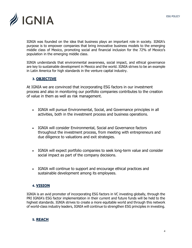

IGNIA was founded on the idea that business plays an important role in society. IGNIA's purpose is to empower companies that bring innovative business models to the emerging middle class of Mexico, promoting social and financial inclusion for the 72% of Mexico's population in the emerging middle class.

IGNIA understands that environmental awareness, social impact, and ethical governance are key to sustainable development in Mexico and the world. IGNIA strives to be an example in Latin America for high standards in the venture capital industry.

## <span id="page-4-0"></span>**3. OBJECTIVE**

At IGNIA we are convinced that incorporating ESG factors in our investment process and also in monitoring our portfolio companies contributes to the creation of value in them as well as risk management.

- IGNIA will pursue Environmental, Social, and Governance principles in all activities, both in the investment process and business operations.
- IGNIA will consider Environmental, Social and Governance factors throughout the investment process, from meeting with entrepreneurs and due diligence to valuations and exit strategies.
- IGNIA will expect portfolio companies to seek long-term value and consider social impact as part of the company decisions.
- IGNIA will continue to support and encourage ethical practices and sustainable development among its employees.

#### <span id="page-4-1"></span>**4. VISION**

IGNIA is an avid promoter of incorporating ESG factors in VC investing globally, through the PRI IGNIA's ESG factor implementation in their current and future funds will be held to the highest standards. IGNIA strives to create a more equitable world and through this network of world-class industry leaders, IGNIA will continue to strengthen ESG principles in investing.

# <span id="page-4-2"></span>**5. REACH**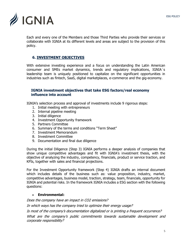

Each and every one of the Members and those Third Parties who provide their services or collaborate with IGNIA at its different levels and areas are subject to the provision of this policy.

# <span id="page-5-0"></span>**6. INVESTMENT OBJECTIVES**

With extensive investing experience and a focus on understanding the Latin American consumer and SMEs market dynamics, trends and regulatory implications, IGNIA´s leadership team is uniquely positioned to capitalize on the significant opportunities in industries such as fintech, SaaS, digital marketplaces, e-commerce and the gig-economy.

#### <span id="page-5-1"></span>**IGNIA investment objectives that take ESG factors/real economy influence into account**

IGNIA's selection process and approval of investments include 9 rigorous steps:

- 1. Initial meeting with entrepreneurs
- 2. Internal pipeline meeting
- 3. Initial diligence
- 4. Investment Opportunity framework
- 5. Partners Committee
- 6. Summary of the terms and conditions "Term Sheet"
- 7. Investment Memorandum
- 8. Investment Committee
- 9. Documentation and final due diligence

During the initial Diligence (Step 3) IGNIA performs a deeper analysis of companies that show unique competitive advantages and fit with IGNIA's investment thesis, with the objective of analyzing the industry, competency, financials, product or service traction, and KPIs, together with sales and financial projections.

For the Investment Opportunity framework (Step 4) IGNIA drafts an internal document which includes details of the business such as: value proposition, industry, market, competitive advantages, business model, traction, strategy, team, financials, opportunity for IGNIA and potential risks. In the framework IGNIA includes a ESG section with the following questions:

#### • **Environmental:**

Does the company have an impact in CO2 emissions?

In which ways has the company tried to optimize their energy usage?

Is most of the company's documentation digitalized or is printing a frequent occurrence?

What are the company's public commitments towards sustainable development and corporate responsibility?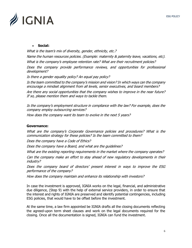

#### • **Social:**

What is the team's mix of diversity, gender, ethnicity, etc.? Name the human resources policies. (Example: maternity & paternity leave, vacations, etc).

What is the company's employee retention rate? What are their recruitment policies?

Does the company provide performance reviews, and opportunities for professional development?

Is there a gender equality policy? An equal pay policy?

Is the team committed to the company's mission and vision? In which ways can the company encourage a mindset alignment from all levels, senior executives, and board members?

Are there any social opportunities that the company wishes to improve in the near future? If so, please mention them and ways to tackle them.

Is the company's employment structure in compliance with the law? For example, does the company employ outsourcing services?

How does the company want its team to evolve in the next 5 years?

#### **Governance:**

What are the company's Corporate Governance policies and procedures? What is the communication strategy for these policies? Is the team committed to them?

Does the company have a Code of Ethics?

Does the company have a Board, and what are the guidelines?

What are the existing reporting requirements in the market where the company operates?

Can the company make an effort to stay ahead of new regulatory developments in their industry?

Does the company board of directors' present interest in ways to improve the ESG performance of the company?

How does the company maintain and enhance its relationship with investors?

In case the investment is approved, IGNIA works on the legal, financial, and administrative due diligence, (Step 9) with the help of external service providers, in order to ensure that the interest and rights of IGNIA are preserved and identify potential contingencies, including ESG policies, that would have to be offset before the investment.

At the same time, a law firm appointed be IGNIA drafts all the closing documents reflecting the agreed-upon term sheet clauses and work on the legal documents required for the closing. Once all the documentation is signed, IGNIA can fund the investment.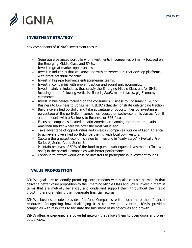

# <span id="page-7-0"></span>**INVESTMENT STRATEGY**

Key components of IGNIA's investment thesis:

- Generate a balanced portfolio with investments in companies primarily focused on the Emerging Middle Class and SMEs.
- Invest in great market opportunities
- Invest in industries that we know and with entrepreneurs that develop platforms with great potential for scale.
- Invest in high-performance entrepreneurial teams.
- Invest in companies with proven traction and sound unit economics.
- Invest mainly in industries that satisfy the Emerging Middle Class and/or SMEs focusing on the following verticals: fintech, SaaS, marketplaces, gig Economy, ecommerce.
- Invest in businesses focused on the consumer (Business to Consumer "B2C" or Business to Business to Consumer "B2B2C") that demonstrate outstanding traction
- Build a diversified portfolio and take advantage of opportunities by investing a percentage of the portfolio in companies focused on socio-economic classes A or B and in models with a Business to Business or B2B focus
- Focus on companies located in Latin America or planning to tap into the Latin American market where we offer the most value-add
- Take advantage of opportunities and invest in companies outside of Latin America, to achieve a diversified portfolio, partnering with local co-investors.
- Capture the greatest economic value by investing in "early stage" typically Pre-Series A, Series A and Series B
- Maintain reserves of 50% of the fund to pursue subsequent investments ("followons") in the portfolio companies with better performance
- Continue to attract world-class co-investors to participate in investment rounds

#### <span id="page-7-1"></span>**VALUE PROPOSITION**

IGNIA's goals are to identify promising entrepreneurs with scalable business models that deliver a better value proposition to the Emerging Middle Class and SMEs, invest in them in terms that are mutually beneficial, and guide and support them throughout their rapid growth, therefore helping them generate financial returns.

IGNIA's business model provides Portfolio Companies with much more than financial resources. Recognizing how challenging it is to develop a venture, IGNIA provides companies with resources to facilitate the fulfillment of its objectives and growth.

IGNIA offers entrepreneurs a powerful network that allows them to open doors and break bottlenecks.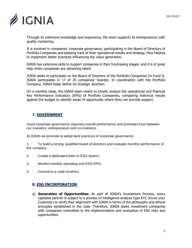

Through its extensive knowledge and experience, the team supports its entrepreneurs with quality mentoring.

It is involved in companies' corporate governance, participating in the Board of Directors of Portfolio Companies and keeping track of their operational results and strategy, thus helping to implement better practices influencing the value generation.

IGNIA has extensive skills to support companies in their fundraising stages, and it is of great help when companies are attracting talent.

IGNIA seeks to participate on the Board of Directors of the Portfolio Companies (in Fund II, IGNIA participates in 17 of 25 companies' boards). In coordination with the Portfolio Company, IGNIA helps define its strategic direction.

On a monthly basis, the IGNIA team meets to closely analyze the operational and financial Key Performance Indicators (KPIs) of Portfolio Companies, comparing historical results against the budget to identify areas of opportunity where they can provide support.

# <span id="page-8-0"></span>**7. GOVERNMENT**

Good corporate governance improves overall performance and promotes trust between our investors, entrepreneurs and co-investors.

At IGNIA we promote to adopt best practices of corporate governance:

1. To build a strong, qualified board of directors and evaluate monthly performance of the company.

- 2. Create a dedicated team to ESG factors.
- 3. Monitor monthly operating and ESG KPIs.
- 4. Commit to a code of ethics.

#### <span id="page-8-1"></span>**8. ESG INCORPORATION**

a) **Generation of Opportunities:** As part of IGNIA's Investment Process, every capitalist partner is subject to a process of intelligence analysis type KYC (Know your Customer) to verify their alignment with IGNIA in terms of the philosophy and ethical principles established in the code. Therefore, IGNIA seeks investment companies with companies committed to the implementation and evaluation of ESG risks and opportunities.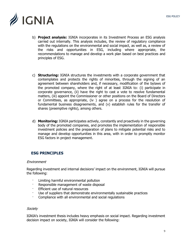

- b) **Project analysis:** IGNIA incorporates in its Investment Process an ESG analysis carried out internally. This analysis includes, the review of regulatory compliance with the regulations on the environmental and social impact, as well as, a review of the risks and opportunities in ESG, including where appropriate, the recommendations to manage and develop a work plan based on best practices and principles of ESG.
- c) **Structuring:** IGNIA structures the investments with a corporate government that contemplates and protects the rights of minorities, through the signing of an agreement between shareholders and, if necessary, modification of the bylaws of the promoted company, where the right of at least IGNIA to: (i) participate in corporate governance, (ii) have the right to cast a vote to resolve fundamental matters, (iii) appoint the Commissioner or other positions on the Board of Directors or Committees, as appropriate, (iv ) agree on a process for the resolution of fundamental business disagreements, and (v) establish rules for the transfer of shares (preemptive rights), among others.
- d) **Monitoring:** IGNIA participates actively, constantly and proactively in the governing body of the promoted companies, and promotes the implementation of responsible investment policies and the preparation of plans to mitigate potential risks and to manage and develop opportunities in this area, with in order to promptly monitor ESG factors in project management.

# <span id="page-9-0"></span>**ESG PRINCIPLES**

#### **Environment**

Regarding investment and internal decisions' impact on the environment, IGNIA will pursue the following:

- Limiting harmful environmental pollution
- · Responsible management of waste disposal
- Efficient use of natural resources
- Use of suppliers that demonstrate environmentally sustainable practices
- Compliance with all environmental and social regulations

#### **Society**

IGNIA's investment thesis includes heavy emphasis on social impact. Regarding investment decision impact on society, IGNIA will consider the following: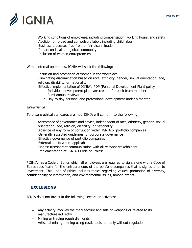ESG POLICY



- · Working conditions of employees, including compensation, working hours, and safety Abolition of forced and compulsory labor, including child labor
- · Business processes free from unfair discrimination
- Impact on local and global community
- · Inclusion of women entrepreneurs

Within internal operations, IGNIA will seek the following:

- Inclusion and promotion of women in the workplace
- · Eliminating discrimination based on race, ethnicity, gender, sexual orientation, age, religion, disability, or nationality.
- Effective implementation of IGNIA's PDP (Personal Development Plan) policy
	- o Individual development plans are created for each team member
		- o Semi-annual reviews
		- o Day-to-day personal and professional development under a mentor

#### Governance

To ensure ethical standards are met, IGNIA will conform to the following:

- · Acceptance of governance and advice, independent of race, ethnicity, gender, sexual orientation, age, religion, disability, or nationality.
- Absence of any form of corruption within IGNIA or portfolio companies
- Generally accepted quidelines for corporate governance
- Effective governance of portfolio companies
- External audits where applicable
- · Honest transparent communication with all relevant stakeholders
- · Implementation of IGNIA's Code of Ethics\*

\*IGNIA has a Code of Ethics which all employees are required to sign, along with a Code of Ethics specifically for the entrepreneurs of the portfolio companies that is signed prior to investment. This Code of Ethics includes topics regarding values, promotion of diversity, confidentiality of information, and environmental issues, among others.

# <span id="page-10-0"></span>**EXCLUSIONS**

IGNIA does not invest in the following sectors or activities:

- Any activity involves the manufacture and sale of weapons or related to its manufacture indirectly
- Mining or trading rough diamonds
- Artisanal mining: mining using rustic tools normally without regulation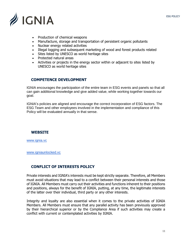

- Production of chemical weapons
- Manufacture, storage and transportation of persistent organic pollutants
- Nuclear energy related activities
- Illegal logging and subsequent marketing of wood and forest products related
- Sites listed by UNESCO as world heritage sites
- Protected natural areas
- Activities or projects in the energy sector within or adjacent to sites listed by UNESCO as world heritage sites

## <span id="page-11-0"></span>**COMPETENCE DEVELOPMENT**

IGNIA encourages the participation of the entire team in ESG events and panels so that all can gain additional knowledge and give added value, while working together towards our goal.

IGNIA's policies are aligned and encourage the correct incorporation of ESG factors. The ESG Team and other employees involved in the implementation and compliance of this Policy will be evaluated annually in that sense.

#### <span id="page-11-1"></span>**WEBSITE**

[www.ignia.vc](http://www.ignia.vc/)

[www.igniaunlocked.vc](http://www.igniaunlocked.vc/)

# <span id="page-11-2"></span>**CONFLICT OF INTERESTS POLICY**

Private interests and IGNIA's interests must be kept strictly separate. Therefore, all Members must avoid situations that may lead to a conflict between their personal interests and those of IGNIA. All Members must carry out their activities and functions inherent to their positions and positions, always for the benefit of IGNIA, putting, at any time, the legitimate interests of the latter over their individual, third party or any other interests.

Integrity and loyalty are also essential when it comes to the private activities of IGNIA Members. All Members must ensure that any parallel activity has been previously approved by their hierarchical superior or by the Compliance Area if such activities may create a conflict with current or contemplated activities by IGNIA.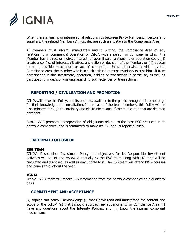

When there is kinship or interpersonal relationships between IGNIA Members, investors and suppliers, the related Member (s) must declare such a situation to the Compliance Area.

All Members must inform, immediately and in writing, the Compliance Area of any relationship or commercial operation of IGNIA with a person or company in which the Member has a direct or indirect interest, or even if said relationship or operation could ( i) create a conflict of interest, (ii) affect any action or decision of the Member, or (iii) appear to be a possible misconduct or act of corruption. Unless otherwise provided by the Compliance Area, the Member who is in such a situation must invariably excuse himself from participating in the investment, operation, bidding or transaction in particular, as well as participating in decision-making regarding such activities or transactions.

## <span id="page-12-0"></span>**REPORTING / DIVULGATION AND PROMOTION**

IGNIA will make this Policy, and its updates, available to the public through its internet page for their knowledge and consultation. In the case of the team Members, this Policy will be disseminated through the ordinary and electronic means of communication that are deemed pertinent.

Also, IGNIA promotes incorporation of obligations related to the best ESG practices in its portfolio companies, and is committed to make it's PRI annual report publicly.

#### <span id="page-12-1"></span>**INTERNAL FOLLOW UP**

#### **ESG TEAM**

IGNIA's Responsible Investment Policy and objectives for its Responsible Investment activities will be set and reviewed annually by the ESG team along with PRI, and will be circulated and disclosed, as well as any update to it. The ESG team will attend PRI's courses and panels throughout the year.

#### **IGNIA**

Whole IGNIA team will report ESG information from the portfolio companies on a quarterly basis.

#### <span id="page-12-2"></span>**COMMITMENT AND ACCEPTANCE**

By signing this policy I acknowledge (i) that I have read and understood the content and scope of the policy" (ii) that I should approach my superior and/ or Compliance Area if I have any questions about the Integrity Policies. and (iii) know the internal complaint mechanisms.